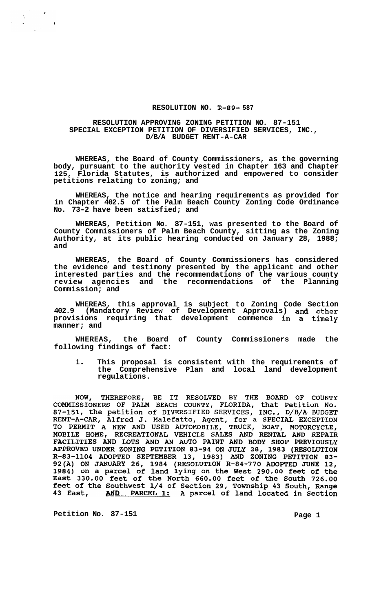## **RESOLUTION NO. R-89- 587**

## **RESOLUTION APPROVING ZONING PETITION NO. 87-151 D/B/A BUDGET RENT-A-CAR SPECIAL EXCEPTION PETITION OF DIVERSIFIED SERVICES, INC.,**

**WHEREAS, the Board of County Commissioners, as the governing body, pursuant to the authority vested in Chapter 163 and Chapter 125, Florida Statutes, is authorized and empowered to consider petitions relating to zoning; and** 

**WHEREAS, the notice and hearing requirements as provided for in Chapter 402.5 of the Palm Beach County Zoning Code Ordinance No. 73-2 have been satisfied; and** 

**WHEREAS, Petition No. 87-151, was presented to the Board of County Commissioners of Palm Beach County, sitting as the Zoning Authority, at its public hearing conducted on January 28, 1988; and** 

**WHEREAS, the Board of County Commissioners has considered the evidence and testimony presented by the applicant and other interested parties and the recommendations of the various county review agencies and the recommendations of the Planning Commission; and** 

**WHEREAS, this approval is subject to Zoning Code Section 402.9 (Mandatory Review of Development Approvals) and other provisions requiring that development commence in a timely manner; and** 

**WHEREAS, the Board of County Commissioners made the following findings of fact:** 

**1. This proposal is consistent with the requirements of the Comprehensive Plan and local land development regulations.** 

NOW, THEREFORE, BE IT RESOLVED BY THE BOARD OF COUNTY<br>COMMISSIONERS OF PALM BEACH COUNTY, FLORIDA, that Petition No.<br>87-151, the petition of DIVERSIFIED SERVICES, INC., D/B/A BUDGET<br>RENT-A-CAR, Alfred J. Malefatto, Agent, MOBILE HOME, RECREATIONAL VEHICLE SALES AND RENTAL AND REPAIR<br>
FACILITIES AND LOTS AND AN AUTO PAINT AND BODY SHOP PREVIOUSLY<br>
APPROVED UNDER ZONING PETITION 83-94 ON JULY 28, 1983 (RESOLUTION<br>
R-83-1104 ADOPTED SEPTEMBER

**Petition No. 87-151 Page 1** 

 $\frac{1}{2}$  .

 $\mathbf{I}$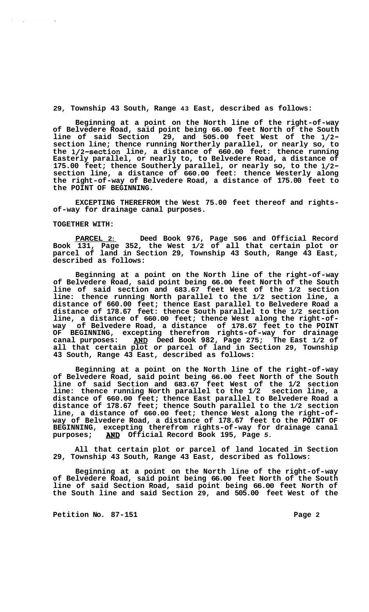**29, Township 43 South, Range 43 East, described as follows:** 

**Beginning at a point on the North line of the right-of-way of Belvedere Road, said point being 66.00 feet North of the South line of said Section 29, and 505.00 feet West of the 1/2 section line; thence running Northerly parallel, or nearly so, to the 1/2-section line, a distance of 660.00 feet: thence running Easterly parallel, or nearly to, to Belvedere Road, a distance of 175.00 feet; thence Southerly parallel, or nearly so, to the 1/2 section line, a distance of 660.00 feet: thence Westerly along the right-of-way of Belvedere Road, a distance of 175.00 feet to the POINT OF BEGINNING.** 

**EXCEPTING THEREFROM the West 75.00 feet thereof and rights- of-way for drainage canal purposes.** 

## **TOGETHER WITH:**

 $\sim 10^{-11}$ 

**PARCEL 2: Deed Book 976, Page 506 and Official Record Book 131, Page 352, the West 1/2 of all that certain plot or parcel of land in Section 29, Township 43 South, Range 43 East, described as follows:** 

**Beginning at a point on the North line of the right-of-way of Belvedere Road, said point being 66.00 feet North of the South line of said section and 683.67 feet West of the 1/2 section line: thence running North parallel to the 1/2 section line, a distance of 660.00 feet; thence East parallel to Belvedere Road a distance of 178.67 feet: thence South parallel to the 1/2 section line, a distance of 660.00 feet; thence West along the right-of- way of Belvedere Road, a distance of 178.67 feet to the POINT OF BEGINNING, excepting therefrom rights-of-way for drainage**  canal purposes: **AND** Deed Book 982, Page 275; The East 1/2 of **all that certain plot or parcel of land in Section 29, Township 43 South, Range 43 East, described as follows:** 

**Beginning at a point on the North line of the right-of-way of Belvedere Road, said point being 66.00 feet North of the South line of said Section and 683.67 feet West of the 1/2 section line: thence running North parallel to the 1/2 section line, a distance of 660.00 feet; thence East parallel to Belvedere Road a distance of 178.67 feet; thence South parallel to the 1/2 section line, a distance of 660.00 feet; thence West along the right-of- way of Belvedere Road, a distance of 178.67 feet to the POINT OF BEGINNING, excepting therefrom rights-of-way for drainage canal purposes; AND Official Record Book 195, [Page](#page-4-0)** *5.* 

**All that certain plot or parcel of land located in Section 29, Township 43 South, Range 43 East, described as follows:** 

**Beginning at a point on the North line of the right-of-way of Belvedere Road, said point being 66.00 feet North of the South line of said Section Road, said point being 66.00 feet North of the South line and said Section 29, and 505.00 feet West of the**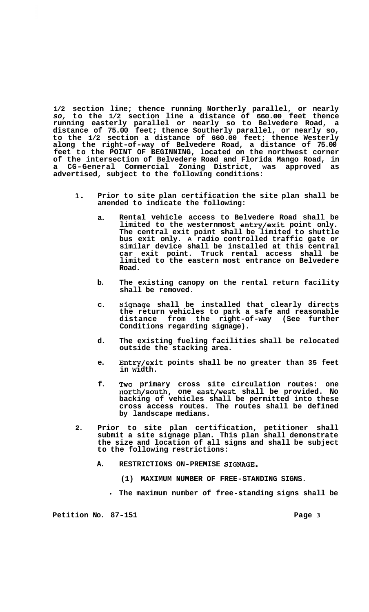**1/2 section line; thence running Northerly parallel, or nearly**  *so,* **to the 1/2 section line a distance of 660.00 feet thence running easterly parallel or nearly so to Belvedere Road, a distance of 75.00 feet; thence Southerly parallel, or nearly so, to the 1/2 section a distance of 660.00 feet; thence Westerly along the right-of-way of Belvedere Road, a distance of 75.00 feet to the POINT OF BEGINNING, located on the northwest corner of the intersection of Belvedere Road and Florida Mango Road, in a CG-General Commercial Zoning District, was approved as advertised, subject to the following conditions:** 

- **1. Prior to site plan certification the site plan shall be amended to indicate the following:** 
	- **a. Rental vehicle access to Belvedere Road shall be limited to the westernmost entry/exit point only. The central exit point shall be limited to shuttle bus exit only. A radio controlled traffic gate or similar device shall be installed at this central car exit point. Truck rental access shall be limited to the eastern most entrance on Belvedere Road.**
	- **b. The existing canopy on the rental return facility shall be removed.**
	- **C. Signage shall be installed that clearly directs the return vehicles to park a safe and reasonable distance from the right-of-way (See further Conditions regarding signage).**
	- **d. The existing fueling facilities shall be relocated outside the stacking area.**
	- **e. Entry/exit points shall be no greater than 35 feet in width.**
	- **f. Two primary cross site circulation routes: one north/south, one east/west shall be provided. No backing of vehicles shall be permitted into these cross access routes. The routes shall be defined by landscape medians.**
- **2. Prior to site plan certification, petitioner shall submit a site signage plan. This plan shall demonstrate the size and location of all signs and shall be subject to the following restrictions:** 
	- **A. RESTRICTIONS ON-PREMISE SIGNAGE.** 
		- **(1) MAXIMUM NUMBER OF FREE-STANDING SIGNS.**
		- **The maximum number of free-standing signs shall be**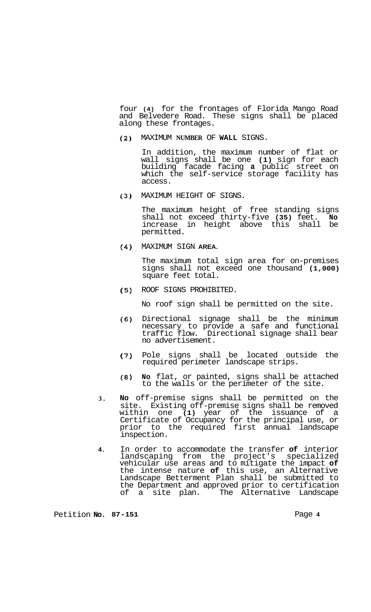four **(4)** for the frontages of Florida Mango Road and Belvedere Road. These signs shall be placed along these frontages.

MAXIMUM **NUMBER** OF **WALL** SIGNS.  $(2)$ 

> In addition, the maximum number of flat or wall signs shall be one **(1)** sign for each building facade facing **a** public street on which the self-service storage facility has access.

MAXIMUM HEIGHT OF SIGNS.  $(3)$ 

> The maximum height of free standing signs shall not exceed thirty-five **(35)** feet. **No**  increase in height above this shall permitted.

MAXIMUM SIGN **AREA.** 

The maximum total sign area for on-premises signs shall not exceed one thousand **(1,000)**  square feet total.

 $(5)$ ROOF SIGNS PROHIBITED.

No roof sign shall be permitted on the site.

- $(6)$ Directional signage shall be the minimum necessary to provide a safe and functional traffic flow. Directional signage shall bear no advertisement.
- Pole signs shall be located outside the  $(7)$ required perimeter landscape strips.
- $(8)$ **No** flat, or painted, signs shall be attached to the walls or the perimeter of the site.
- **3. No** off-premise signs shall be permitted on the site. Existing off-premise signs shall be removed within one **(1)** year of the issuance of a Certificate of Occupancy for the principal use, or prior to the required first annual landscape inspection.
- **4.**  In order to accommodate the transfer **of** interior landscaping from the project's specialized vehicular use areas and to mitigate the impact **of**  the intense nature **of** this use, an Alternative Landscape Betterment Plan shall be submitted to the Department and approved prior to certification of a site plan. The Alternative Landscape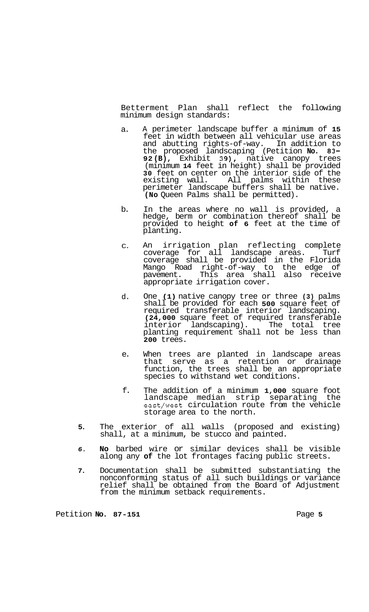<span id="page-4-0"></span>Betterment Plan shall reflect the following minimum design standards:

- a. A perimeter landscape buffer a minimum of **15**  feet in width between all vehicular use areas and abutting rights-of-way. In addition to the proposed landscaping (Petition **No. 83- 92 (B),** Exhibit **39),** native canopy trees (minimum **14** feet in height) shall be provided **30** feet on center on the interior side of the existing wall. All palms within these perimeter landscape buffers shall be native. **(No** Queen Palms shall be permitted).
- b. In the areas where no wall is provided, a hedge, berm or combination thereof shall be provided to height **of 6** feet at the time of planting.
- C. An irrigation plan reflecting complete coverage for all landscape areas. Turf coverage shall be provided in the Florida Mango Road right-of-way to the edge of pavement. This area shall also receive appropriate irrigation cover.
- d. One **(1)** native canopy tree or three **(3)** palms shall be provided for each **500** square feet of required transferable interior landscaping. **(24,000** square feet of required transferable interior landscaping). The total tree planting requirement shall not be less than **200** trees.
- e. When trees are planted in landscape areas that serve as a retention or drainage function, the trees shall be an appropriate species to withstand wet conditions.
- f. The addition of a minimum **1,000** square foot landscape median strip separating the east/west circulation route from the vehicle storage area to the north.
- **5.** The exterior of all walls (proposed and existing) shall, at a minimum, be stucco and painted.
- *6.* **No** barbed wire or similar devices shall be visible along any **of** the lot frontages facing public streets.
- **7.** Documentation shall be submitted substantiating the nonconforming status of all such buildings or variance relief shall be obtained from the Board of Adjustment from the minimum setback requirements.

Petition **No.** 87-151 **Page 5 Page 5**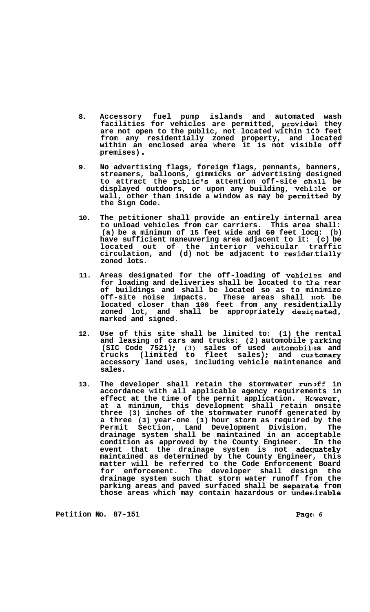- **8. Accessory fuel pump islands and automated wash**  facilities for vehicles are permitted, provided they **are not open to the public, not located within 1CO feet from any residentially zoned property, and located within an enclosed area where it is not visible off premises)** .
- **9. No advertising flags, foreign flags, pennants, banners, streamers, balloons, gimmicks or advertising designed to attract the public's attention off-site sh4311 be displayed outdoors, or upon any building, vehizle or wall, other than inside a window as may be permit.ted by the Sign Code.**
- **10. The petitioner shall provide an entirely internal area to unload vehicles from car carriers. This area shall: (a) be a minimum of 15 feet wide and 60 feet locg: (b) have sufficient maneuvering area adjacent to it: (c) be located out of the interior vehicular traffic circulation, and (d) not be adjacent to resider.tially zoned lots.**
- **11. Areas designated for the off-loading of vehicls and for loading and deliveries shall be located to tk.e rear of buildings and shall be located so as to minimize off-site noise impacts. These areas shall 11ot be located closer than 100 feet from any residentially zoned lot, and shall be appropriately desicnated, marked and signed.**
- **12. Use of this site shall be limited to: (1) the rental and leasing of cars and trucks: (2) automobile parking (SIC Code 7521); (3) sales of used automobiles and trucks (limited to fleet sales)** ; **and cus'tomary accessory land uses, including vehicle maintenance and sales.**
- 13. The developer shall retain the stormwater runoff in **accordance with all applicable agency requirements in**  effect at the time of the permit application. However, **at a minimum, this development shall retain onsite three (3) inches of the stormwater runoff generated by a three (3) year-one (1) hour storm as required by the Permit Section, Land Development Division. The drainage system shall be maintained in an acceptable condition as approved by the County Engineer. In the event that the drainage system is not adecpately maintained as determined by the County Engineer, this matter will be referred to the Code Enforcement Board for enforcement. The developer shall design the drainage system such that storm water runoff from the**  parking areas and paved surfaced shall be separate from **those areas which may contain hazardous or undes,irable**

**Petition No.** 87-151 **Page 6 Page 6**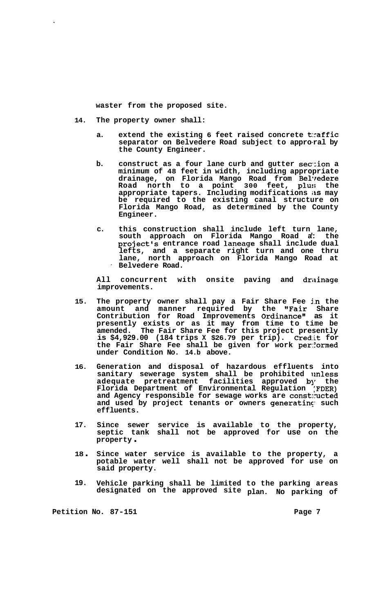**waster from the proposed site.** 

**14. The property owner shall:** 

 $\ddot{\phantom{0}}$ 

- **a. extend the existing 6 feet raised concrete t:raffic separator on Belvedere Road subject to appro-ral by the County Engineer.**
- **b.** construct as a four lane curb and gutter section a **minimum of 48 feet in width, including appropriate drainage, on Florida Mango Road from Bel-redere Road north to a point 300 feet, plu:; the appropriate tapers. Including modifications iis may be required to the existing canal structure on Florida Mango Road, as determined by the County Engineer.**
- **c. this construction shall include left turn lane, south approach on Florida Mango Road a': the project's entrance road laneage shall include dual lefts, and a separate right turn and one thru lane, north approach on Florida Mango Road at** ' **Belvedere Road.**

All concurrent with onsite paving and drainage **improvements.** 

- **15. The property owner shall pay a Fair Share Fee in the amount and manner required by the "Fair Share Contribution for Road Improvements Ordinance'' as it presently exists or as it may from time to time be amended. The Fair Share Fee for this project presently is \$4,929.00 (184 trips X \$26.79 per trip). Credit for the Fair Share Fee shall be given for work performed under Condition No. 14.b above.**
- **16. Generation and disposal of hazardous effluents into sanitary sewerage system shall be prohibited unless adequate pretreatment facilities approved bJr the Florida Department of Environmental Regulation [FDER) and Agency responsible for sewage works are constructed and used by project tenants or owners generatinq such effluents.**
- **17. Since sewer service is available to the property, septic tank shall not be approved for use on the property** .
- **<sup>18</sup>**. **Since water service is available to the property, a potable water well shall not be approved for use on said property.**
- **19. Vehicle parking shall be limited to the parking areas designated on the approved site plan. No parking of**

**Petition No. 87-151 Page 7 Page 7**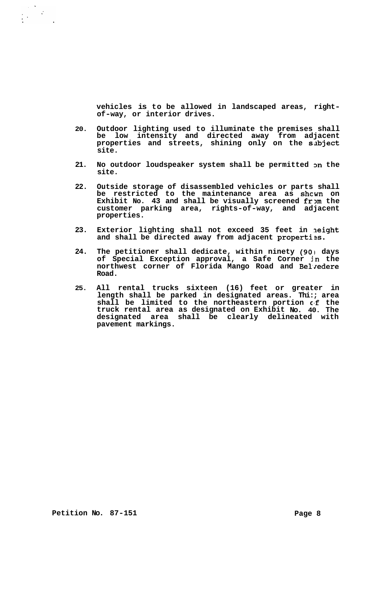**vehicles is to be allowed in landscaped areas, right- of-way, or interior drives.** 

- **20. Outdoor lighting used to illuminate the premises shall be low intensity and directed away from adjacent properties and streets, shining only on the sabject site.**
- **21. No outdoor loudspeaker system shall be permitted 3n the site.**
- **22. Outside storage of disassembled vehicles or parts shall be restricted to the maintenance area as shcwn on**  Exhibit No. 43 and shall be visually screened from the **customer parking area, rights-of-way, and adjacent properties.**
- **23. Exterior lighting shall not exceed 35 feet in Ieight**  and shall be directed away from adjacent properties.
- **24. The petitioner shall dedicate, within ninety (901 days of Special Exception approval, a Safe Corner jn the northwest corner of Florida Mango Road and Be1,lredere Road.**
- **25. All rental trucks sixteen (16) feet or greater in length shall be parked in designated areas. Thi:; area shall be limited to the northeastern portion cff the truck rental area as designated on Exhibit No. 40. The designated area shall be clearly delineated with pavement markings.**

**Petition No. 87-151 Page 8**